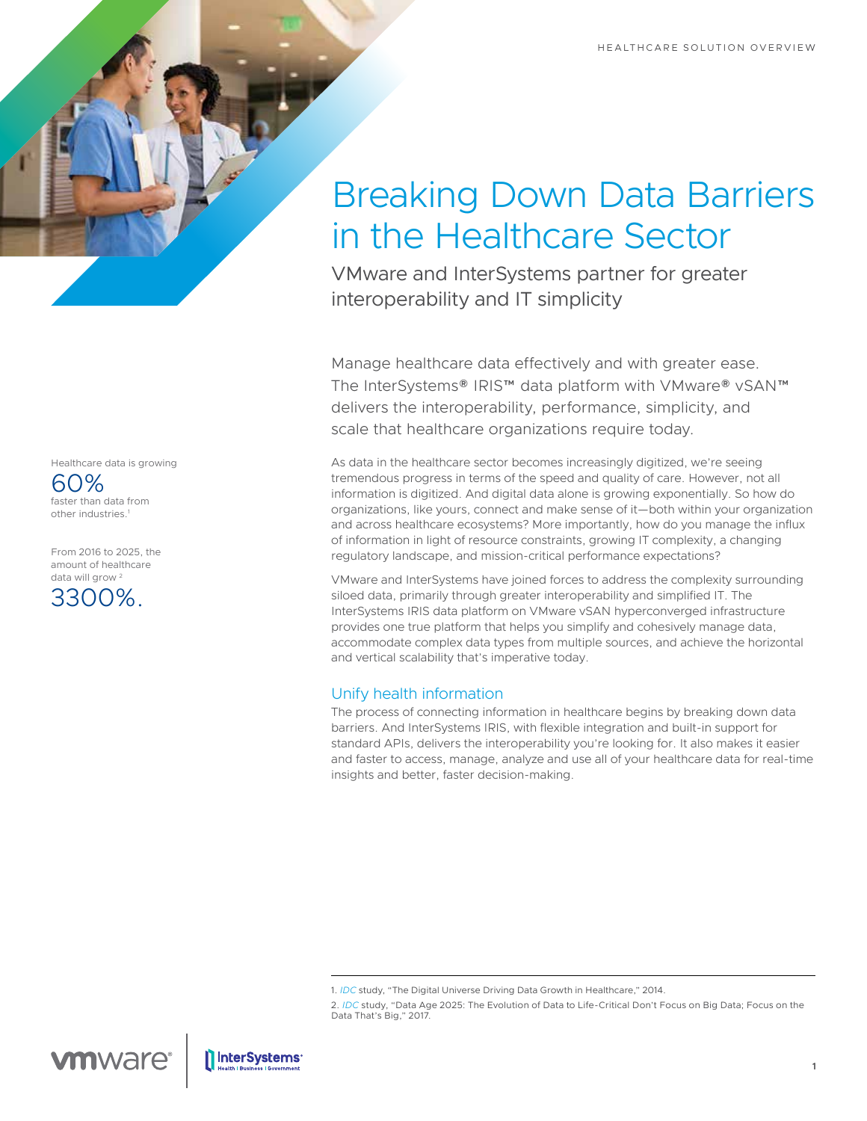# Breaking Down Data Barriers in the Healthcare Sector

VMware and InterSystems partner for greater interoperability and IT simplicity

Manage healthcare data effectively and with greater ease. The InterSystems® IRIS™ data platform with VMware® vSAN™ delivers the interoperability, performance, simplicity, and scale that healthcare organizations require today.

As data in the healthcare sector becomes increasingly digitized, we're seeing tremendous progress in terms of the speed and quality of care. However, not all information is digitized. And digital data alone is growing exponentially. So how do organizations, like yours, connect and make sense of it—both within your organization and across healthcare ecosystems? More importantly, how do you manage the influx of information in light of resource constraints, growing IT complexity, a changing regulatory landscape, and mission-critical performance expectations?

VMware and InterSystems have joined forces to address the complexity surrounding siloed data, primarily through greater interoperability and simplified IT. The InterSystems IRIS data platform on VMware vSAN hyperconverged infrastructure provides one true platform that helps you simplify and cohesively manage data, accommodate complex data types from multiple sources, and achieve the horizontal and vertical scalability that's imperative today.

## Unify health information

The process of connecting information in healthcare begins by breaking down data barriers. And InterSystems IRIS, with flexible integration and built-in support for standard APIs, delivers the interoperability you're looking for. It also makes it easier and faster to access, manage, analyze and use all of your healthcare data for real-time insights and better, faster decision-making.

2. *[IDC](https://www.idc.com/)* study, "Data Age 2025: The Evolution of Data to Life-Critical Don't Focus on Big Data; Focus on the Data That's Big," 2017.

Healthcare data is growing

60% faster than data from other industries.1

From 2016 to 2025, the amount of healthcare data will grow<sup>2</sup>



<sup>1.</sup> *[IDC](https://www.idc.com/)* study, "The Digital Universe Driving Data Growth in Healthcare," 2014.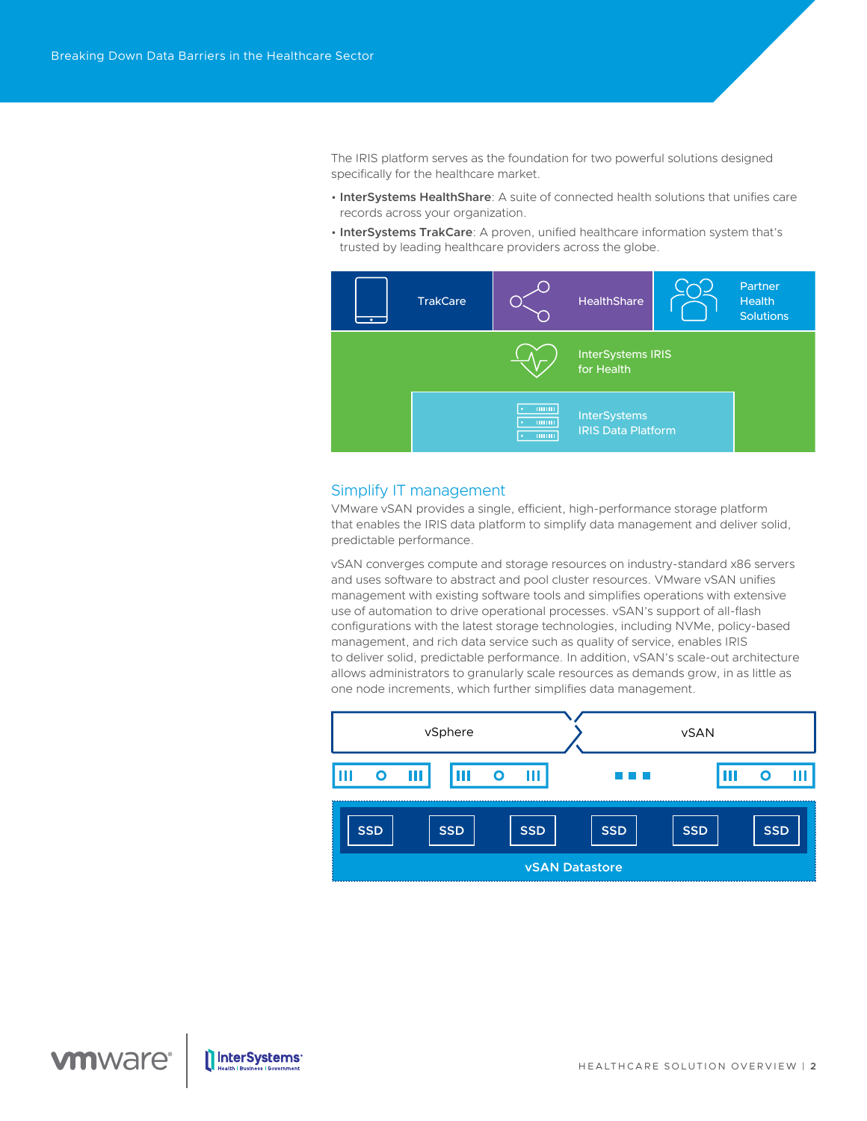The IRIS platform serves as the foundation for two powerful solutions designed specifically for the healthcare market.

- **InterSystems HealthShare**: A suite of connected health solutions that unifies care records across your organization.
- **InterSystems TrakCare**: A proven, unified healthcare information system that's trusted by leading healthcare providers across the globe.



### Simplify IT management

VMware vSAN provides a single, efficient, high-performance storage platform that enables the IRIS data platform to simplify data management and deliver solid, predictable performance.

vSAN converges compute and storage resources on industry‑standard x86 servers and uses software to abstract and pool cluster resources. VMware vSAN unifies management with existing software tools and simplifies operations with extensive use of automation to drive operational processes. vSAN's support of all-flash configurations with the latest storage technologies, including NVMe, policy-based management, and rich data service such as quality of service, enables IRIS to deliver solid, predictable performance. In addition, vSAN's scale-out architecture allows administrators to granularly scale resources as demands grow, in as little as one node increments, which further simplifies data management.